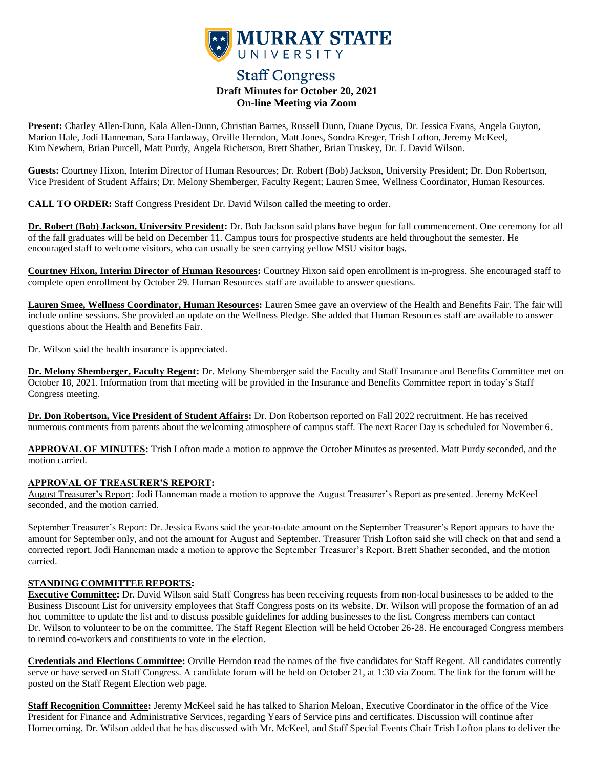

# **Staff Congress Draft Minutes for October 20, 2021 On-line Meeting via Zoom**

**Present:** Charley Allen-Dunn, Kala Allen-Dunn, Christian Barnes, Russell Dunn, Duane Dycus, Dr. Jessica Evans, Angela Guyton, Marion Hale, Jodi Hanneman, Sara Hardaway, Orville Herndon, Matt Jones, Sondra Kreger, Trish Lofton, Jeremy McKeel, Kim Newbern, Brian Purcell, Matt Purdy, Angela Richerson, Brett Shather, Brian Truskey, Dr. J. David Wilson.

**Guests:** Courtney Hixon, Interim Director of Human Resources; Dr. Robert (Bob) Jackson, University President; Dr. Don Robertson, Vice President of Student Affairs; Dr. Melony Shemberger, Faculty Regent; Lauren Smee, Wellness Coordinator, Human Resources.

**CALL TO ORDER:** Staff Congress President Dr. David Wilson called the meeting to order.

**Dr. Robert (Bob) Jackson, University President:** Dr. Bob Jackson said plans have begun for fall commencement. One ceremony for all of the fall graduates will be held on December 11. Campus tours for prospective students are held throughout the semester. He encouraged staff to welcome visitors, who can usually be seen carrying yellow MSU visitor bags.

**Courtney Hixon, Interim Director of Human Resources:** Courtney Hixon said open enrollment is in-progress. She encouraged staff to complete open enrollment by October 29. Human Resources staff are available to answer questions.

**Lauren Smee, Wellness Coordinator, Human Resources:** Lauren Smee gave an overview of the Health and Benefits Fair. The fair will include online sessions. She provided an update on the Wellness Pledge. She added that Human Resources staff are available to answer questions about the Health and Benefits Fair.

Dr. Wilson said the health insurance is appreciated.

**Dr. Melony Shemberger, Faculty Regent:** Dr. Melony Shemberger said the Faculty and Staff Insurance and Benefits Committee met on October 18, 2021. Information from that meeting will be provided in the Insurance and Benefits Committee report in today's Staff Congress meeting.

**Dr. Don Robertson, Vice President of Student Affairs:** Dr. Don Robertson reported on Fall 2022 recruitment. He has received numerous comments from parents about the welcoming atmosphere of campus staff. The next Racer Day is scheduled for November 6.

**APPROVAL OF MINUTES:** Trish Lofton made a motion to approve the October Minutes as presented. Matt Purdy seconded, and the motion carried.

## **APPROVAL OF TREASURER'S REPORT:**

August Treasurer's Report: Jodi Hanneman made a motion to approve the August Treasurer's Report as presented. Jeremy McKeel seconded, and the motion carried.

September Treasurer's Report: Dr. Jessica Evans said the year-to-date amount on the September Treasurer's Report appears to have the amount for September only, and not the amount for August and September. Treasurer Trish Lofton said she will check on that and send a corrected report. Jodi Hanneman made a motion to approve the September Treasurer's Report. Brett Shather seconded, and the motion carried.

#### **STANDING COMMITTEE REPORTS:**

**Executive Committee:** Dr. David Wilson said Staff Congress has been receiving requests from non-local businesses to be added to the Business Discount List for university employees that Staff Congress posts on its website. Dr. Wilson will propose the formation of an ad hoc committee to update the list and to discuss possible guidelines for adding businesses to the list. Congress members can contact Dr. Wilson to volunteer to be on the committee. The Staff Regent Election will be held October 26-28. He encouraged Congress members to remind co-workers and constituents to vote in the election.

**Credentials and Elections Committee:** Orville Herndon read the names of the five candidates for Staff Regent. All candidates currently serve or have served on Staff Congress. A candidate forum will be held on October 21, at 1:30 via Zoom. The link for the forum will be posted on the Staff Regent Election web page.

**Staff Recognition Committee:** Jeremy McKeel said he has talked to Sharion Meloan, Executive Coordinator in the office of the Vice President for Finance and Administrative Services, regarding Years of Service pins and certificates. Discussion will continue after Homecoming. Dr. Wilson added that he has discussed with Mr. McKeel, and Staff Special Events Chair Trish Lofton plans to deliver the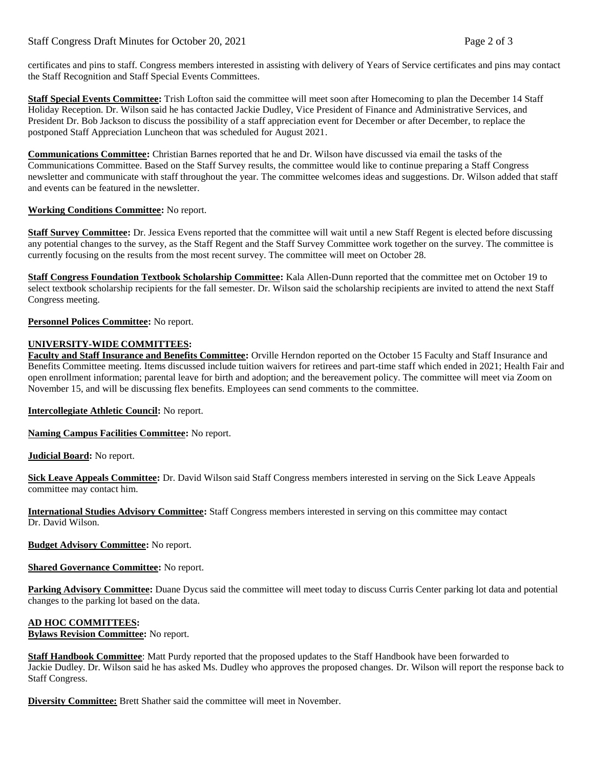## Staff Congress Draft Minutes for October 20, 2021 Page 2 of 3

certificates and pins to staff. Congress members interested in assisting with delivery of Years of Service certificates and pins may contact the Staff Recognition and Staff Special Events Committees.

**Staff Special Events Committee:** Trish Lofton said the committee will meet soon after Homecoming to plan the December 14 Staff Holiday Reception. Dr. Wilson said he has contacted Jackie Dudley, Vice President of Finance and Administrative Services, and President Dr. Bob Jackson to discuss the possibility of a staff appreciation event for December or after December, to replace the postponed Staff Appreciation Luncheon that was scheduled for August 2021.

**Communications Committee:** Christian Barnes reported that he and Dr. Wilson have discussed via email the tasks of the Communications Committee. Based on the Staff Survey results, the committee would like to continue preparing a Staff Congress newsletter and communicate with staff throughout the year. The committee welcomes ideas and suggestions. Dr. Wilson added that staff and events can be featured in the newsletter.

#### **Working Conditions Committee:** No report.

**Staff Survey Committee:** Dr. Jessica Evens reported that the committee will wait until a new Staff Regent is elected before discussing any potential changes to the survey, as the Staff Regent and the Staff Survey Committee work together on the survey. The committee is currently focusing on the results from the most recent survey. The committee will meet on October 28.

**Staff Congress Foundation Textbook Scholarship Committee:** Kala Allen-Dunn reported that the committee met on October 19 to select textbook scholarship recipients for the fall semester. Dr. Wilson said the scholarship recipients are invited to attend the next Staff Congress meeting.

#### **Personnel Polices Committee:** No report.

#### **UNIVERSITY-WIDE COMMITTEES:**

**Faculty and Staff Insurance and Benefits Committee:** Orville Herndon reported on the October 15 Faculty and Staff Insurance and Benefits Committee meeting. Items discussed include tuition waivers for retirees and part-time staff which ended in 2021; Health Fair and open enrollment information; parental leave for birth and adoption; and the bereavement policy. The committee will meet via Zoom on November 15, and will be discussing flex benefits. Employees can send comments to the committee.

**Intercollegiate Athletic Council:** No report.

**Naming Campus Facilities Committee:** No report.

**Judicial Board:** No report.

**Sick Leave Appeals Committee:** Dr. David Wilson said Staff Congress members interested in serving on the Sick Leave Appeals committee may contact him.

**International Studies Advisory Committee:** Staff Congress members interested in serving on this committee may contact Dr. David Wilson.

**Budget Advisory Committee:** No report.

**Shared Governance Committee:** No report.

**Parking Advisory Committee:** Duane Dycus said the committee will meet today to discuss Curris Center parking lot data and potential changes to the parking lot based on the data.

## **AD HOC COMMITTEES:**

**Bylaws Revision Committee:** No report.

**Staff Handbook Committee**: Matt Purdy reported that the proposed updates to the Staff Handbook have been forwarded to Jackie Dudley. Dr. Wilson said he has asked Ms. Dudley who approves the proposed changes. Dr. Wilson will report the response back to Staff Congress.

**Diversity Committee:** Brett Shather said the committee will meet in November.